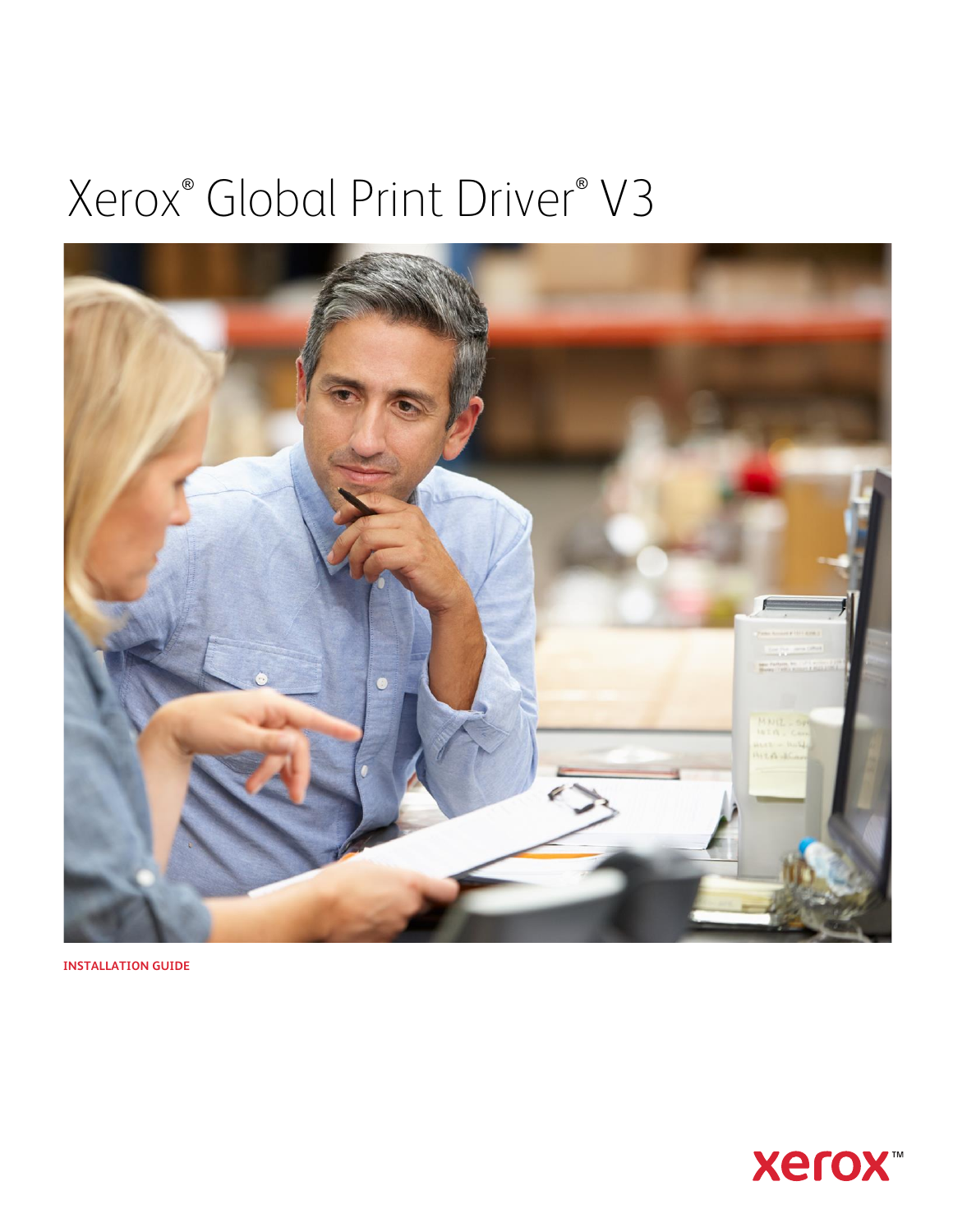# Xerox® Global Print Driver® V3



**INSTALLATION GUIDE**

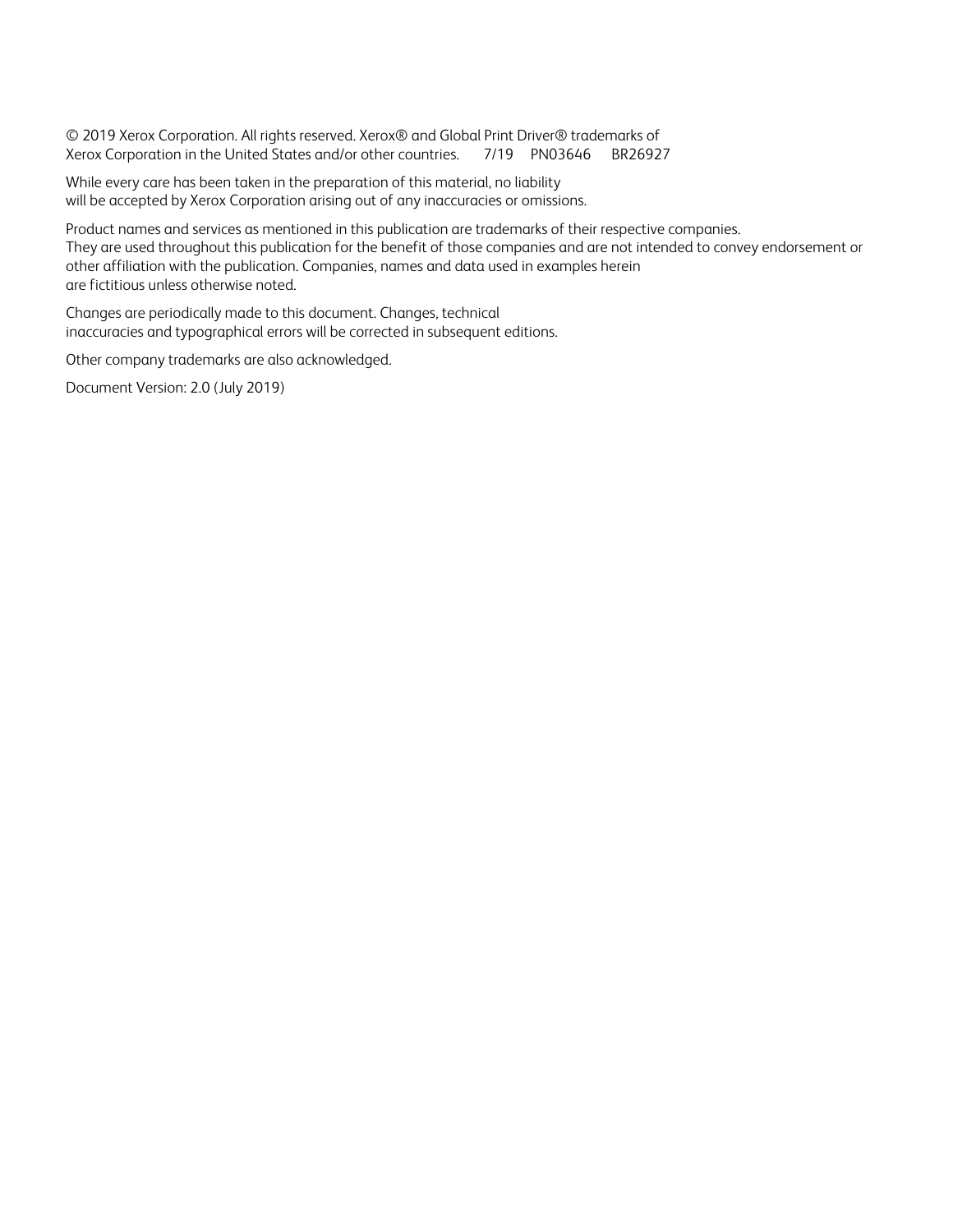© 2019 Xerox Corporation. All rights reserved. Xerox® and Global Print Driver® trademarks of Xerox Corporation in the United States and/or other countries. 7/19 PN03646 BR26927

While every care has been taken in the preparation of this material, no liability will be accepted by Xerox Corporation arising out of any inaccuracies or omissions.

Product names and services as mentioned in this publication are trademarks of their respective companies. They are used throughout this publication for the benefit of those companies and are not intended to convey endorsement or other affiliation with the publication. Companies, names and data used in examples herein are fictitious unless otherwise noted.

Changes are periodically made to this document. Changes, technical inaccuracies and typographical errors will be corrected in subsequent editions.

Other company trademarks are also acknowledged.

Document Version: 2.0 (July 2019)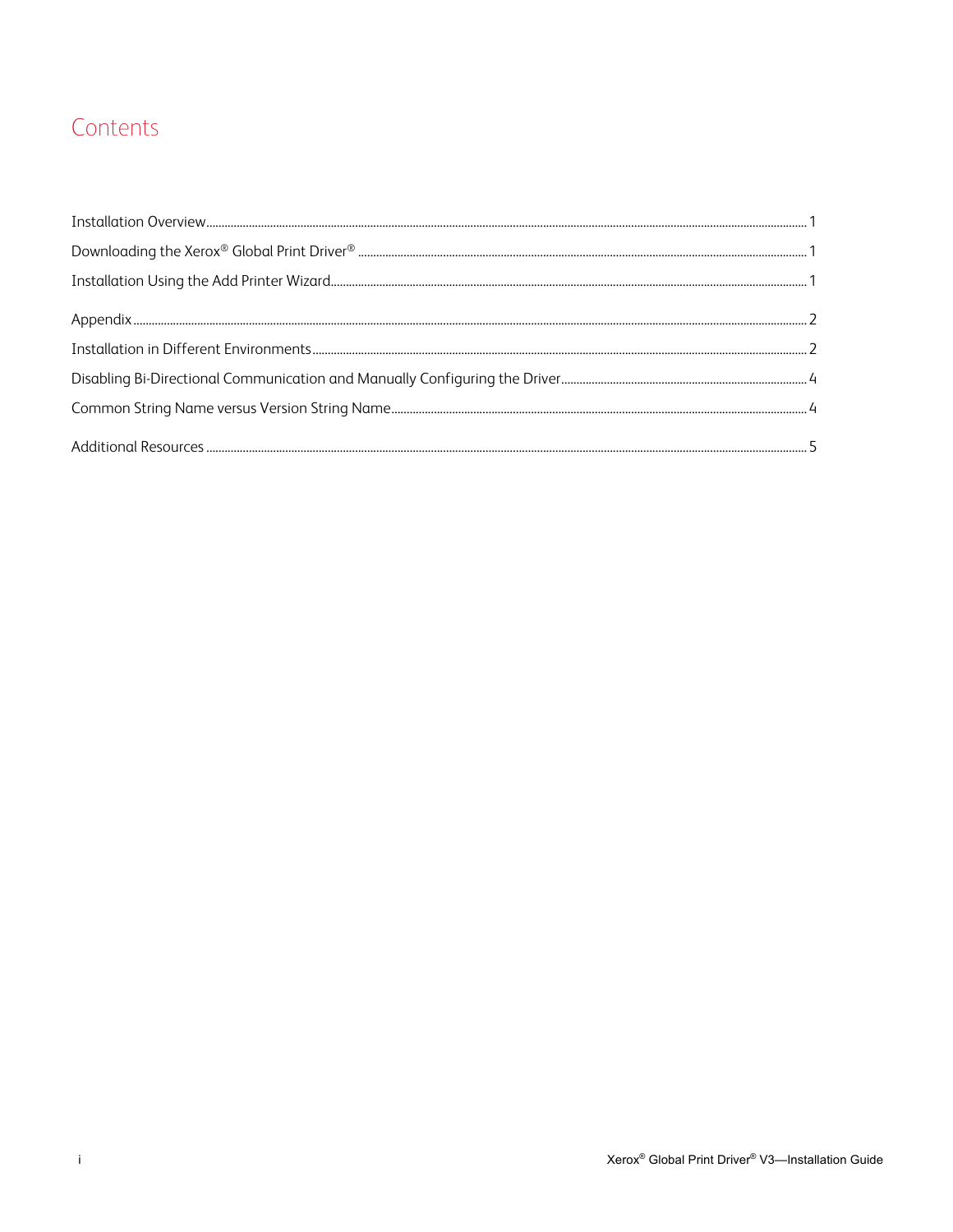## Contents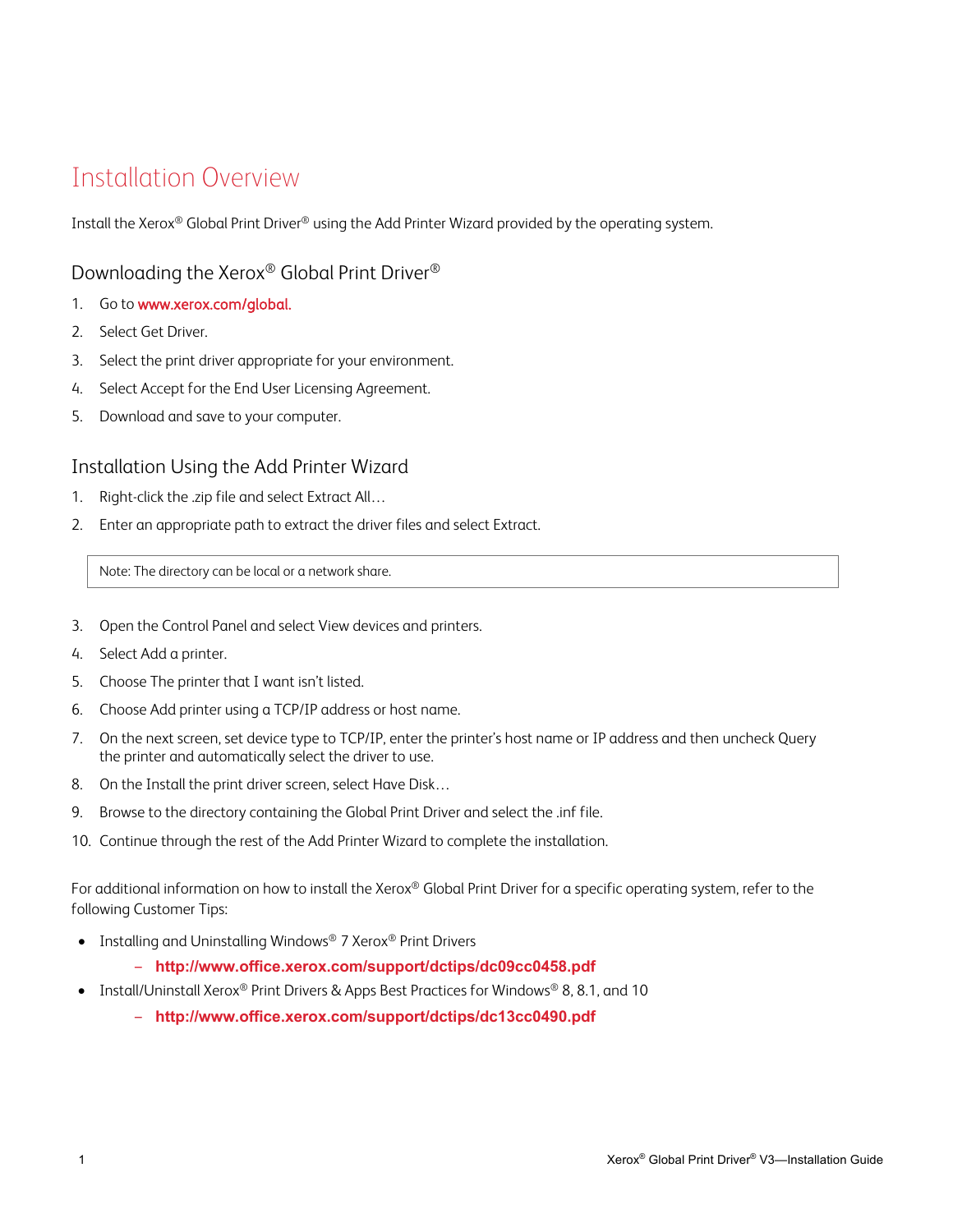## <span id="page-3-0"></span>Installation Overview

Install the Xerox® Global Print Driver® using the Add Printer Wizard provided by the operating system.

#### Downloading the Xerox® Global Print Driver®

- 1. Go to www.xerox.com/global.
- 2. Select Get Driver.
- 3. Select the print driver appropriate for your environment.
- 4. Select Accept for the End User Licensing Agreement.
- 5. Download and save to your computer.

#### Installation Using the Add Printer Wizard

- 1. Right-click the .zip file and select Extract All…
- 2. Enter an appropriate path to extract the driver files and select Extract.

Note: The directory can be local or a network share.

- 3. Open the Control Panel and select View devices and printers.
- 4. Select Add a printer.
- 5. Choose The printer that I want isn't listed.
- 6. Choose Add printer using a TCP/IP address or host name.
- 7. On the next screen, set device type to TCP/IP, enter the printer's host name or IP address and then uncheck Query the printer and automatically select the driver to use.
- 8. On the Install the print driver screen, select Have Disk…
- 9. Browse to the directory containing the Global Print Driver and select the .inf file.
- 10. Continue through the rest of the Add Printer Wizard to complete the installation.

For additional information on how to install the Xerox® Global Print Driver for a specific operating system, refer to the following Customer Tips:

- Installing and Uninstalling Windows® 7 Xerox® Print Drivers
	- ‒ **http://www.office.xerox.com/support/dctips/dc09cc0458.pdf**
- Install/Uninstall Xerox® Print Drivers & Apps Best Practices for Windows® 8, 8.1, and 10
	- ‒ **http://www.office.xerox.com/support/dctips/dc13cc0490.pdf**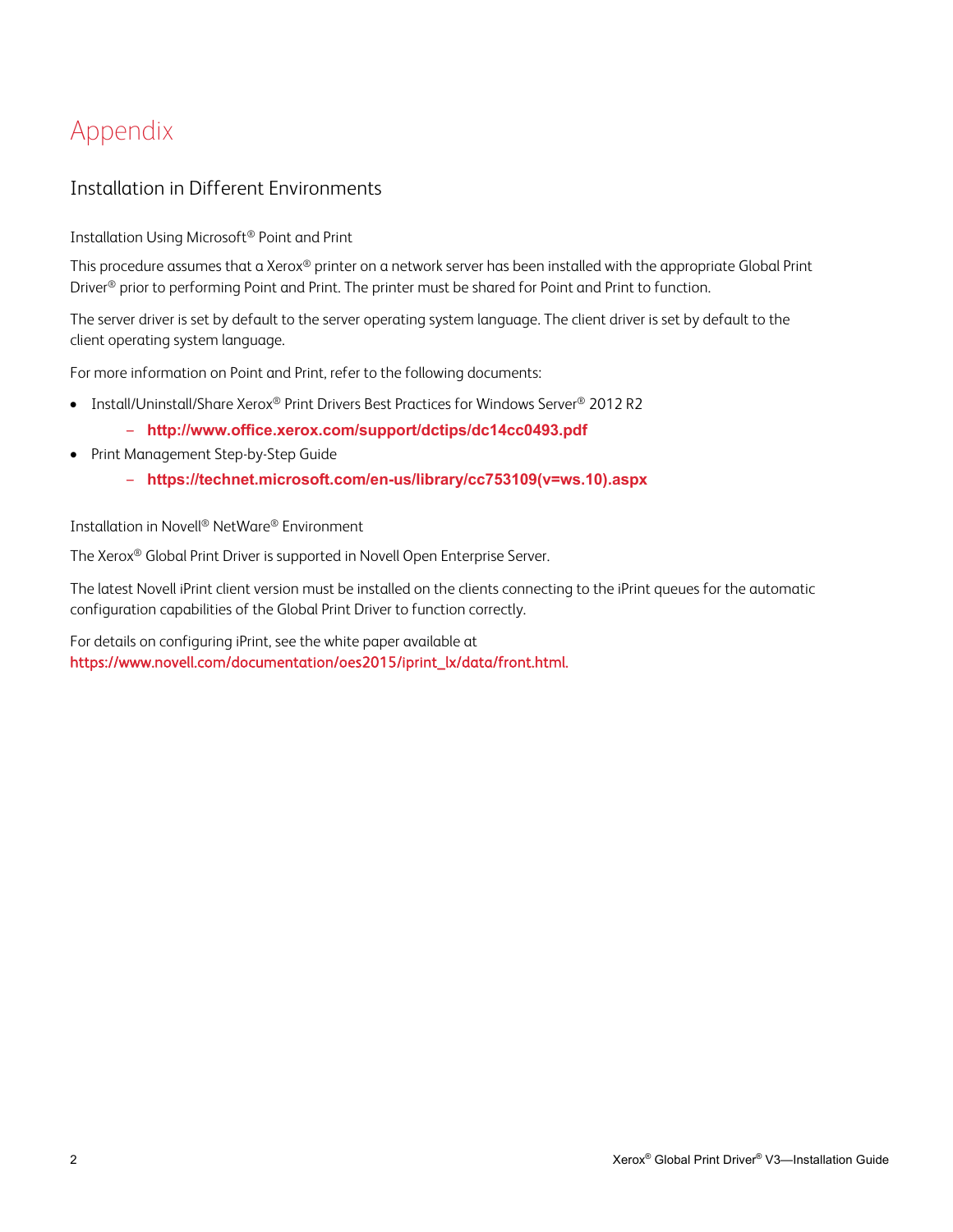# <span id="page-4-0"></span>Appendix

#### Installation in Different Environments

Installation Using Microsoft® Point and Print

This procedure assumes that a Xerox® printer on a network server has been installed with the appropriate Global Print Driver<sup>®</sup> prior to performing Point and Print. The printer must be shared for Point and Print to function.

The server driver is set by default to the server operating system language. The client driver is set by default to the client operating system language.

For more information on Point and Print, refer to the following documents:

- Install/Uninstall/Share Xerox® Print Drivers Best Practices for Windows Server® 2012 R2
	- ‒ **http://www.office.xerox.com/support/dctips/dc14cc0493.pdf**
- Print Management Step-by-Step Guide
	- ‒ **https://technet.microsoft.com/en-us/library/cc753109(v=ws.10).aspx**

Installation in Novell® NetWare® Environment

The Xerox® Global Print Driver is supported in Novell Open Enterprise Server.

The latest Novell iPrint client version must be installed on the clients connecting to the iPrint queues for the automatic configuration capabilities of the Global Print Driver to function correctly.

For details on configuring iPrint, see the white paper available at https://www.novell.com/documentation/oes2015/iprint\_lx/data/front.html.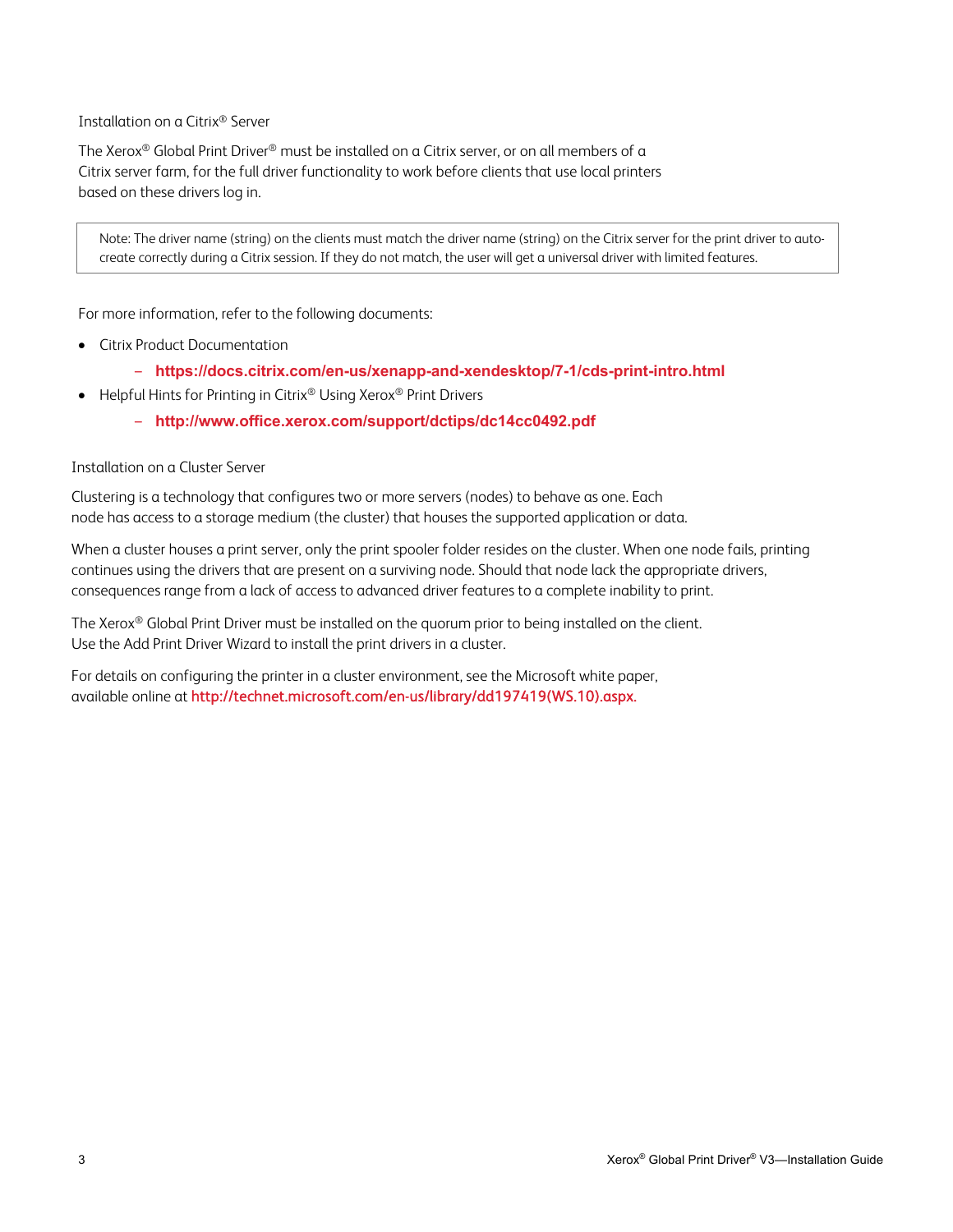#### Installation on a Citrix® Server

The Xerox® Global Print Driver® must be installed on a Citrix server, or on all members of a Citrix server farm, for the full driver functionality to work before clients that use local printers based on these drivers log in.

Note: The driver name (string) on the clients must match the driver name (string) on the Citrix server for the print driver to autocreate correctly during a Citrix session. If they do not match, the user will get a universal driver with limited features.

For more information, refer to the following documents:

- Citrix Product Documentation
	- ‒ **https://docs.citrix.com/en-us/xenapp-and-xendesktop/7-1/cds-print-intro.html**
- Helpful Hints for Printing in Citrix® Using Xerox® Print Drivers
	- ‒ **http://www.office.xerox.com/support/dctips/dc14cc0492.pdf**

#### Installation on a Cluster Server

Clustering is a technology that configures two or more servers (nodes) to behave as one. Each node has access to a storage medium (the cluster) that houses the supported application or data.

When a cluster houses a print server, only the print spooler folder resides on the cluster. When one node fails, printing continues using the drivers that are present on a surviving node. Should that node lack the appropriate drivers, consequences range from a lack of access to advanced driver features to a complete inability to print.

The Xerox® Global Print Driver must be installed on the quorum prior to being installed on the client. Use the Add Print Driver Wizard to install the print drivers in a cluster.

For details on configuring the printer in a cluster environment, see the Microsoft white paper, available online at http://technet.microsoft.com/en-us/library/dd197419(WS.10).aspx.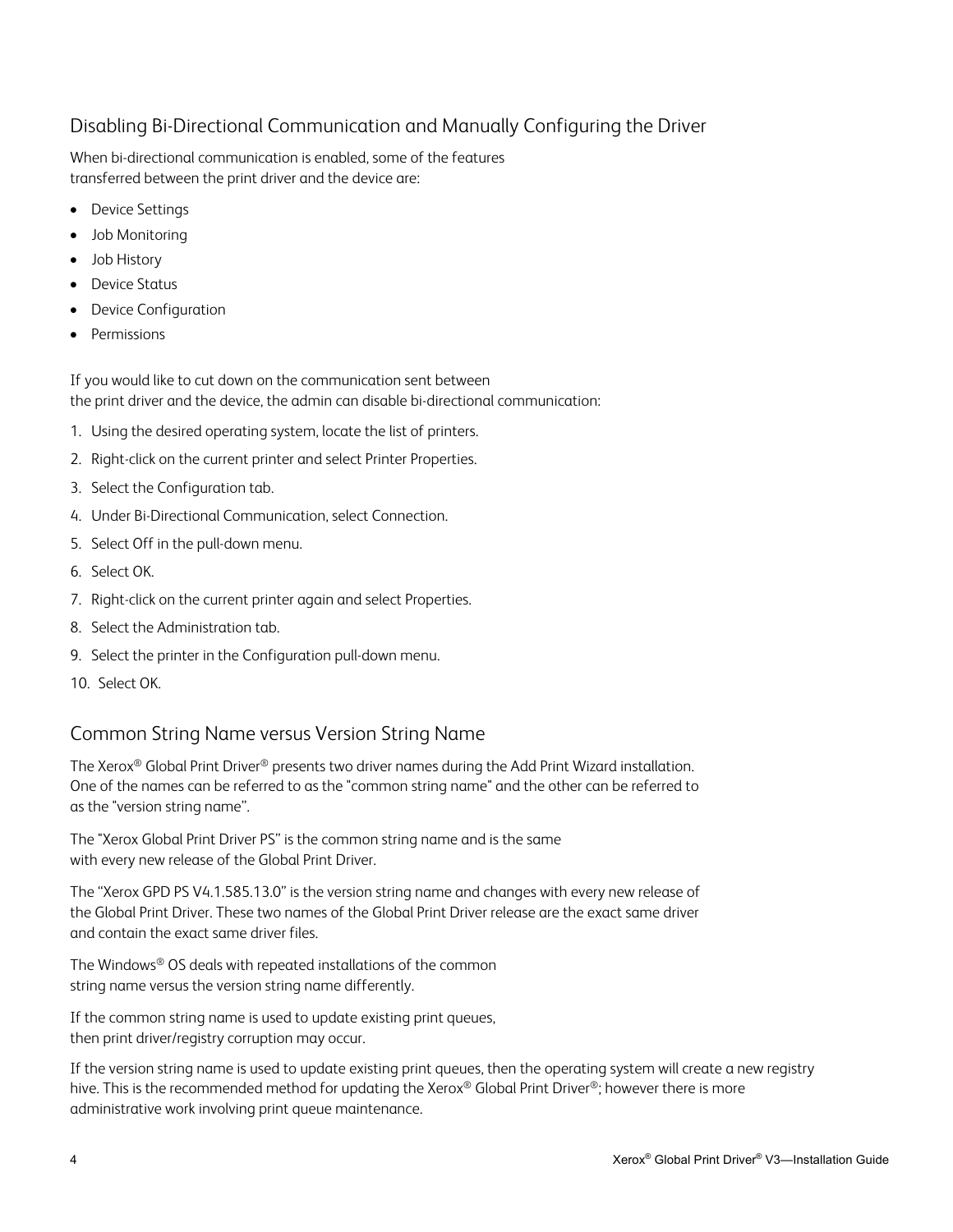### <span id="page-6-0"></span>Disabling Bi-Directional Communication and Manually Configuring the Driver

When bi-directional communication is enabled, some of the features transferred between the print driver and the device are:

- Device Settings
- Job Monitoring
- Job History
- Device Status
- Device Configuration
- **Permissions**

If you would like to cut down on the communication sent between the print driver and the device, the admin can disable bi-directional communication:

- 1. Using the desired operating system, locate the list of printers.
- 2. Right-click on the current printer and select Printer Properties.
- 3. Select the Configuration tab.
- 4. Under Bi-Directional Communication, select Connection.
- 5. Select Off in the pull-down menu.
- 6. Select OK.
- 7. Right-click on the current printer again and select Properties.
- 8. Select the Administration tab.
- 9. Select the printer in the Configuration pull-down menu.
- 10. Select OK.

## Common String Name versus Version String Name

The Xerox® Global Print Driver® presents two driver names during the Add Print Wizard installation. One of the names can be referred to as the "common string name" and the other can be referred to as the "version string name".

The "Xerox Global Print Driver PS" is the common string name and is the same with every new release of the Global Print Driver.

The "Xerox GPD PS V4.1.585.13.0" is the version string name and changes with every new release of the Global Print Driver. These two names of the Global Print Driver release are the exact same driver and contain the exact same driver files.

The Windows® OS deals with repeated installations of the common string name versus the version string name differently.

If the common string name is used to update existing print queues, then print driver/registry corruption may occur.

If the version string name is used to update existing print queues, then the operating system will create a new registry hive. This is the recommended method for updating the Xerox® Global Print Driver®; however there is more administrative work involving print queue maintenance.